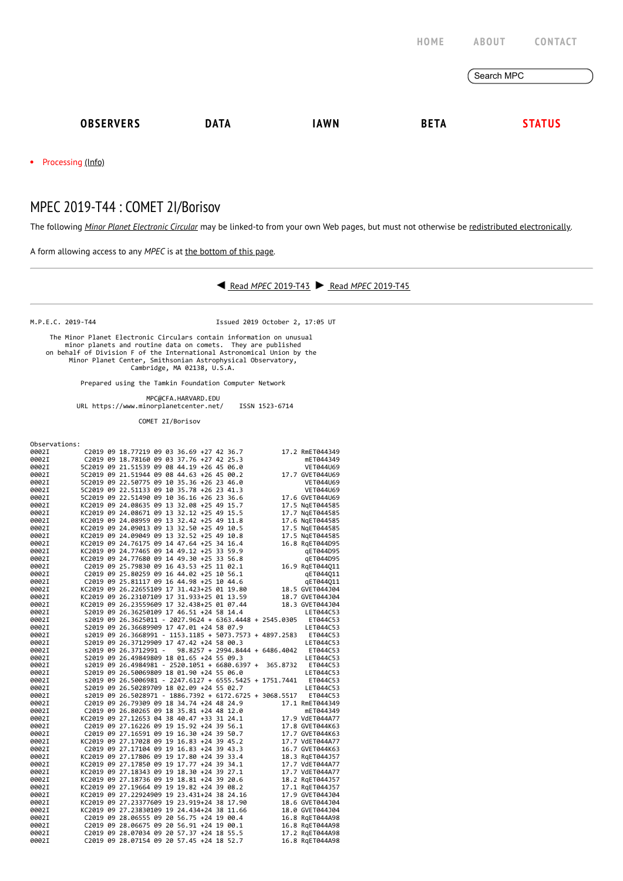|                  |             |             | HOME        | <b>ABOUT</b> | <b>CONTACT</b> |
|------------------|-------------|-------------|-------------|--------------|----------------|
|                  |             |             |             | Search MPC   |                |
| <b>OBSERVERS</b> | <b>DATA</b> | <b>IAWN</b> | <b>BETA</b> |              | <b>STATUS</b>  |

• Processing [\(Info\)](https://minorplanetcenter.net/iau/info/MPCOpStatus.html)

## MPEC 2019-T44 : COMET 2I/Borisov

The following *Minor Planet [Electronic](https://minorplanetcenter.net/iau/services/MPEC.html) Circular* may be linked-to from your own Web pages, but must not otherwise be redistributed [electronically](https://minorplanetcenter.net/iau/WWWPolicy.html).

A form allowing access to any *MPEC* is at the [bottom](https://minorplanetcenter.net/mpec/K19/K19T44.html#form) of this page.



M.P.E.C. 2019-T44 Issued 2019 October 2, 17:05 UT

The Minor Planet Electronic Circulars contain information on unusual<br>minor planets and routine data on comets. They are published<br>on behalf of Division F of the International Astronomical Union by the<br>Minor Planet Center,

Prepared using the Tamkin Foundation Computer Network

MPC@CFA.HARVARD.EDU

URL https://www.minorplanetcenter.net/ ISSN 1523-6714

COMET 2I/Borisov

| Observations:                                                         |                 |
|-----------------------------------------------------------------------|-----------------|
| C2019 09 18.77219 09 03 36.69 +27 42 36.7<br>0002I                    | 17.2 RmET044349 |
| C2019 09 18.78160 09 03 37.76 +27 42 25.3<br>0002I                    | mET044349       |
| 0002I<br>5C2019 09 21.51539 09 08 44.19 +26 45 06.0                   | VET044U69       |
| 5C2019 09 21.51944 09 08 44.63 +26 45 00.2<br>0002I                   | 17.7 GVET044U69 |
| 5C2019 09 22.50775 09 10 35.36 +26 23 46.0<br>0002I                   | VET044U69       |
| 5C2019 09 22.51133 09 10 35.78 +26 23 41.3<br>0002I                   | VET044U69       |
| 5C2019 09 22.51490 09 10 36.16 +26 23 36.6<br>0002I                   | 17.6 GVET044U69 |
| KC2019 09 24.08635 09 13 32.08 +25 49 15.7<br>0002I                   | 17.5 NgET044585 |
| KC2019 09 24.08671 09 13 32.12 +25 49 15.5<br>0002I                   | 17.7 NgET044585 |
| KC2019 09 24.08959 09 13 32.42 +25 49 11.8<br>0002I                   | 17.6 NgET044585 |
| KC2019 09 24.09013 09 13 32.50 +25 49 10.5<br>0002I                   | 17.5 NgET044585 |
| 0002I<br>KC2019 09 24.09049 09 13 32.52 +25 49 10.8                   | 17.5 NgET044585 |
| KC2019 09 24.76175 09 14 47.64 +25 34 16.4<br>0002I                   | 16.8 RgET044D95 |
| KC2019 09 24.77465 09 14 49.12 +25 33 59.9<br>0002I                   | qET044D95       |
| KC2019 09 24.77680 09 14 49.30 +25 33 56.8<br>0002I                   | qET044D95       |
| C2019 09 25.79830 09 16 43.53 +25 11 02.1<br>0002I                    | 16.9 RgET044011 |
| 0002I<br>C2019 09 25.80259 09 16 44.02 +25 10 56.1                    | qET044011       |
| C2019 09 25.81117 09 16 44.98 +25 10 44.6<br>0002I                    | qET044011       |
| 0002I<br>KC2019 09 26.22655109 17 31.423+25 01 19.80                  | 18.5 GVET044J04 |
| KC2019 09 26.23107109 17 31.933+25 01 13.59<br>0002I                  | 18.7 GVET044104 |
| KC2019 09 26.23559609 17 32.438+25 01 07.44<br>0002I                  | 18.3 GVET044J04 |
| S2019 09 26.36250109 17 46.51 +24 58 14.4<br>0002I                    | LET044C53       |
| s2019 09 26.3625011 - 2027.9624 + 6363.4448 + 2545.0305<br>0002I      | ET044C53        |
| 0002I<br>52019 09 26.36689909 17 47.01 +24 58 07.9                    | LET044C53       |
| s2019 09 26.3668991 - 1153.1185 + 5073.7573 + 4897.2583<br>0002I      | ET044C53        |
| S2019 09 26.37129909 17 47.42 +24 58 00.3<br>0002I                    | LET044C53       |
| 0002I<br>s2019 09 26.3712991 - 98.8257 + 2994.8444 + 6486.4042        | ET044C53        |
| S2019 09 26.49849809 18 01.65 +24 55 09.3<br>0002I                    | LET044C53       |
| s2019 09 26.4984981 - 2520.1051 + 6680.6397 + 365.8732<br>0002I       | ET044C53        |
| 52019 09 26.50069809 18 01.90 +24 55 06.0<br>0002I                    | LET044C53       |
| s2019 09 26.5006981 - 2247.6127 + 6555.5425 + 1751.7441<br>0002I      | ET044C53        |
| S2019 09 26.50289709 18 02.09 +24 55 02.7<br>0002I                    | LET044C53       |
| s2019 09 26.5028971 - 1886.7392 + 6172.6725 + 3068.5517<br>0002I      | ET044C53        |
| C2019 09 26.79309 09 18 34.74 +24 48 24.9<br>0002I                    | 17.1 RmET044349 |
| 0002I<br>C2019 09 26.80265 09 18 35.81 +24 48 12.0                    | mET044349       |
| 0002I<br>KC2019 09 27.12653 04 38 40.47 +33 31 24.1                   | 17.9 VdET044A77 |
| C2019 09 27.16226 09 19 15.92 +24 39 56.1<br>0002I                    | 17.8 GVET044K63 |
| C2019 09 27.16591 09 19 16.30 +24 39 50.7<br>0002I                    | 17.7 GVET044K63 |
| KC2019 09 27.17028 09 19 16.83 +24 39 45.2<br>0002I                   | 17.7 VdET044A77 |
| C2019 09 27.17104 09 19 16.83 +24 39 43.3<br>0002I                    | 16.7 GVET044K63 |
| KC2019 09 27.17806 09 19 17.80 +24 39 33.4<br>0002I                   | 18.3 RgET044J57 |
| KC2019 09 27.17850 09 19 17.77 +24 39 34.1<br>0002I                   | 17.7 VdET044A77 |
| 0002I<br>KC2019 09 27.18343 09 19 18.30 +24 39 27.1                   | 17.7 VdET044A77 |
| KC2019 09 27.18736 09 19 18.81 +24 39 20.6<br>0002I                   | 18.2 RgET044J57 |
| KC2019 09 27.19664 09 19 19.82 +24 39 08.2<br>0002I                   | 17.1 RgET044J57 |
| KC2019 09 27.22924909 19 23.431+24 38 24.16<br>0002I                  | 17.9 GVET044J04 |
| KC2019 09 27.23377609 19 23.919+24 38 17.90<br>0002I                  | 18.6 GVET044J04 |
| KC2019 09 27.23830109 19 24.434+24 38 11.66<br>0002I                  | 18.0 GVET044104 |
| 0002I<br>C2019 09 28.06555 09 20 56.75 +24 19 00.4                    | 16.8 RgET044A98 |
|                                                                       |                 |
| C2019 09 28.06675 09 20 56.91 +24 19 00.1<br>0002I                    |                 |
| 16.8 RgET044A98<br>C2019 09 28.07034 09 20 57.37 +24 18 55.5<br>0002I | 17.2 RgET044A98 |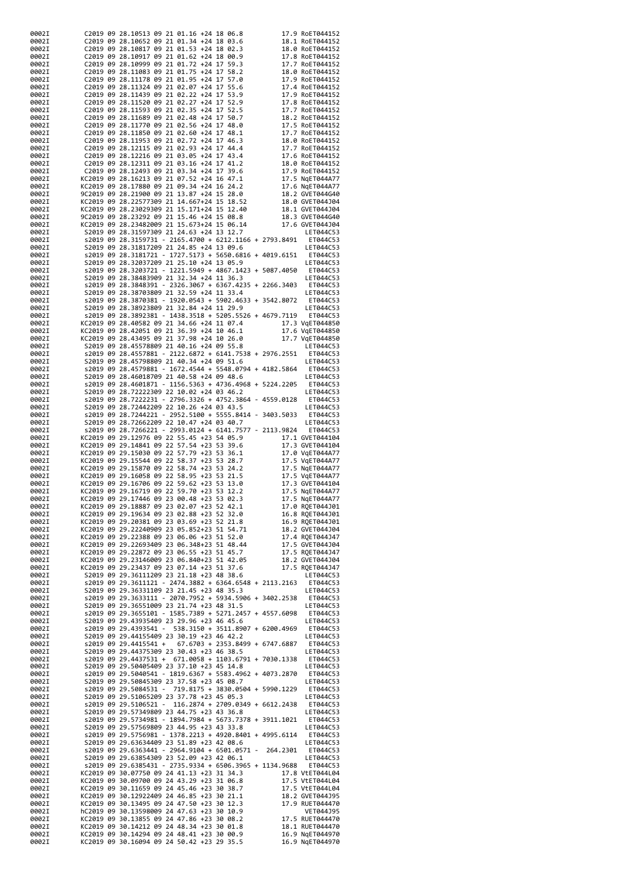| 0002I          |  |                                            | C2019 09 28.10513 09 21 01.16 +24 18 06.8                                                                                                                                                                                                     |  | 17.9 RoET044152                    |
|----------------|--|--------------------------------------------|-----------------------------------------------------------------------------------------------------------------------------------------------------------------------------------------------------------------------------------------------|--|------------------------------------|
| 0002I<br>0002I |  |                                            | C2019 09 28.10652 09 21 01.34 +24 18 03.6<br>C2019 09 28.10617 09 21 01.53 +24 18 02.3<br>C2019 09 28.10917 09 21 01.62 +24 18 00.9<br>C2019 09 28.10999 09 21 01.72 +24 17 59.3<br>C2019 09 28.11083 09 21 01.75 +24 17 58.2<br>C2019 09 28. |  | 18.1 RoET044152<br>18.0 RoET044152 |
| 0002I          |  |                                            |                                                                                                                                                                                                                                               |  | 17.8 RoET044152                    |
| 0002I          |  |                                            |                                                                                                                                                                                                                                               |  | 17.7 RoET044152                    |
| 0002I          |  |                                            |                                                                                                                                                                                                                                               |  | 18.0 RoET044152                    |
| 0002I<br>0002I |  |                                            |                                                                                                                                                                                                                                               |  | 17.9 RoET044152                    |
| 0002I          |  |                                            |                                                                                                                                                                                                                                               |  | 17.4 RoET044152<br>17.9 RoET044152 |
| 0002I          |  |                                            | 2019 99 28.11178 99 21 01.95 +24 17 57.0<br>2019 99 28.11178 99 21 02.07 +24 17 55.6<br>2019 99 28.11324 09 21 02.07 +24 17 55.6<br>2019 09 28.11520 09 21 02.27 +24 17 52.9<br>2019 09 28.11520 09 21 02.27 +24 17 52.9                      |  | 17.8 RoET044152                    |
| 0002I          |  |                                            | C2019 09 28.11593 09 21 02.35 +24 17 52.5                                                                                                                                                                                                     |  | 17.7 RoET044152                    |
| 0002I          |  |                                            |                                                                                                                                                                                                                                               |  | 18.2 RoET044152                    |
| 0002I<br>0002I |  |                                            |                                                                                                                                                                                                                                               |  | 17.5 RoET044152<br>17.7 RoET044152 |
| 0002I          |  |                                            |                                                                                                                                                                                                                                               |  | 18.0 RoET044152                    |
| 0002I          |  |                                            | C2019 09 28.11593 09 21 02.35 +24 17 52.5<br>C2019 09 28.11593 09 21 02.35 +24 17 52.5<br>C2019 09 28.11770 09 21 02.48 +24 17 50.7<br>C2019 09 28.11770 09 21 02.56 +24 17 48.0<br>C2019 09 28.11850 09 21 02.60 +24 17 48.1<br>C2019        |  | 17.7 RoET044152                    |
| 0002I<br>0002I |  |                                            |                                                                                                                                                                                                                                               |  | 17.6 RoET044152<br>18.0 RoET044152 |
| 0002I          |  |                                            |                                                                                                                                                                                                                                               |  | 17.9 RoET044152                    |
| 0002I          |  |                                            |                                                                                                                                                                                                                                               |  | 17.5 NgET044A77                    |
| 0002I          |  |                                            |                                                                                                                                                                                                                                               |  | 17.6 NgET044A77                    |
| 0002I<br>0002I |  |                                            |                                                                                                                                                                                                                                               |  | 18.2 GVET044G40<br>18.0 GVET044J04 |
| 0002I          |  |                                            |                                                                                                                                                                                                                                               |  | 18.1 GVET044J04                    |
| 0002I          |  |                                            | 9C2019 09 28.23292 09 21 15.46 +24 15 08.8                                                                                                                                                                                                    |  | 18.3 GVET044G40                    |
| 0002I          |  |                                            | $KC2019$ 09 28.23482009 21 15.673+24 15 06.14                                                                                                                                                                                                 |  | 17.6 GVET044J04                    |
| 0002I<br>0002I |  |                                            | S2019 09 28.31597309 21 24.63 +24 13 12.7<br>s2019 09 28.3159731 - 2165.4700 + 6212.1166 + 2793.8491                                                                                                                                          |  | LET044C53<br>ET044C53              |
| 0002I          |  |                                            | S2019 09 28.31817209 21 24.85 +24 13 09.6                                                                                                                                                                                                     |  | LET044C53                          |
| 0002I          |  |                                            | s2019 09 28.3181721 - 1727.5173 + 5650.6816 + 4019.6151                                                                                                                                                                                       |  | ET044C53                           |
| 0002I          |  |                                            | S2019 09 28.32037209 21 25.10 +24 13 05.9                                                                                                                                                                                                     |  | LET044C53                          |
| 0002I<br>0002I |  |                                            | s2019 09 28.3203721 - 1221.5949 + 4867.1423 + 5087.4050<br>S2019 09 28.38483909 21 32.34 +24 11 36.3                                                                                                                                          |  | ET044C53<br>LET044C53              |
| 0002I          |  |                                            | s2019 09 28.3848391 - 2326.3067 + 6367.4235 + 2266.3403                                                                                                                                                                                       |  | ET044C53                           |
| 0002I          |  |                                            | S2019 09 28.38703809 21 32.59 +24 11 33.4                                                                                                                                                                                                     |  | LET044C53                          |
| 0002I          |  |                                            | s2019 09 28.3870381 - 1920.0543 + 5902.4633 + 3542.8072                                                                                                                                                                                       |  | ET044C53                           |
| 0002I<br>0002I |  |                                            | S2019 09 28.38923809 21 32.84 +24 11 29.9<br>s2019 09 28.3892381 - 1438.3518 + 5205.5526 + 4679.7119                                                                                                                                          |  | LET044C53<br>ET044C53              |
| 0002I          |  |                                            |                                                                                                                                                                                                                                               |  |                                    |
| 0002I          |  |                                            |                                                                                                                                                                                                                                               |  |                                    |
| 0002I          |  |                                            |                                                                                                                                                                                                                                               |  |                                    |
| 0002I<br>0002I |  |                                            | s2019 09 28.4557881 - 2122.6872 + 6141.7538 + 2976.2551                                                                                                                                                                                       |  | ET044C53                           |
| 0002I          |  |                                            | S2019 09 28.45798809 21 40.34 +24 09 51.6                                                                                                                                                                                                     |  | LET044C53                          |
| 0002I          |  |                                            | s2019 09 28.4579881 - 1672.4544 + 5548.0794 + 4182.5864                                                                                                                                                                                       |  | ET044C53                           |
| 0002I          |  |                                            | S2019 09 28.46018709 21 40.58 +24 09 48.6                                                                                                                                                                                                     |  | LET044C53                          |
| 0002I<br>0002I |  |                                            | s2019 09 28.4601871 - 1156.5363 + 4736.4968 + 5224.2205<br>S2019 09 28.72222309 22 10.02 +24 03 46.2                                                                                                                                          |  | ET044C53<br>LET044C53              |
| 0002I          |  |                                            | s2019 09 28.7222231 - 2796.3326 + 4752.3864 - 4559.0128                                                                                                                                                                                       |  | ET044C53                           |
| 0002I          |  |                                            | S2019 09 28.72442209 22 10.26 +24 03 43.5                                                                                                                                                                                                     |  | LET044C53                          |
| 0002I          |  |                                            | s2019 09 28.7244221 - 2952.5100 + 5555.8414 - 3403.5033                                                                                                                                                                                       |  | ET044C53                           |
| 0002I<br>0002I |  |                                            | S2019 09 28.72662209 22 10.47 +24 03 40.7<br>s2019 09 28.7266221 - 2993.0124 + 6141.7577 - 2113.9824                                                                                                                                          |  | LET044C53<br>ET044C53              |
| 0002I          |  |                                            | KC2019 09 29.12976 09 22 55.45 +23 54 05.9                                                                                                                                                                                                    |  | 17.1 GVET044104                    |
| 0002I          |  |                                            |                                                                                                                                                                                                                                               |  | 17.3 GVET044104                    |
| 0002I<br>0002I |  |                                            |                                                                                                                                                                                                                                               |  | 17.0 VgET044A77                    |
| 0002I          |  |                                            | KC2019 09 29.12976 09 22 55.45 +23 54 05.5<br>KC2019 09 29.14841 09 22 57.54 +23 53 36.6<br>KC2019 09 29.15630 09 22 57.79 +23 53 36.1<br>KC2019 09 29.15544 09 22 58.74 +23 53 28.7<br>KC2019 09 29.15870 09 22 58.74 +23 53 24.2<br>KC      |  | 17.5 VgET044A77<br>17.5 NgET044A77 |
| 0002I          |  |                                            |                                                                                                                                                                                                                                               |  | 17.5 VgET044A77                    |
| 0002I          |  |                                            |                                                                                                                                                                                                                                               |  | 17.3 GVET044104                    |
| 0002I<br>0002I |  |                                            | KC2019 09 29.17446 09 23 00.48 +23 53 02.3                                                                                                                                                                                                    |  | 17.5 NgET044A77<br>17.5 NaET044A77 |
| 0002I          |  |                                            | KC2019 09 29.18887 09 23 02.07 +23 52 42.1                                                                                                                                                                                                    |  | 17.0 RQET044J01                    |
| 0002I          |  |                                            | KC2019 09 29.19634 09 23 02.88 +23 52 32.0                                                                                                                                                                                                    |  | 16.8 RQET044J01                    |
| 0002I          |  |                                            | KC2019 09 29.20381 09 23 03.69 +23 52 21.8                                                                                                                                                                                                    |  | 16.9 ROET044J01                    |
| 0002I<br>0002I |  |                                            | KC2019 09 29.22240909 23 05.852+23 51 54.71<br>KC2019 09 29.22388 09 23 06.06 +23 51 52.0                                                                                                                                                     |  | 18.2 GVET044J04<br>17.4 ROET044J47 |
| 0002I          |  |                                            | KC2019 09 29.22693409 23 06.348+23 51 48.44                                                                                                                                                                                                   |  | 17.5 GVET044J04                    |
| 0002I          |  |                                            | KC2019 09 29.22872 09 23 06.55 +23 51 45.7                                                                                                                                                                                                    |  | 17.5 ROET044J47                    |
| 0002I          |  |                                            | KC2019 09 29.23146009 23 06.840+23 51 42.05                                                                                                                                                                                                   |  | 18.2 GVET044J04                    |
| 0002I<br>0002I |  |                                            | KC2019 09 29.23437 09 23 07.14 +23 51 37.6<br>S2019 09 29.36111209 23 21.18 +23 48 38.6                                                                                                                                                       |  | 17.5 RQET044J47<br>LET044C53       |
| 0002I          |  |                                            | s2019 09 29.3611121 - 2474.3882 + 6364.6548 + 2113.2163                                                                                                                                                                                       |  | ET044C53                           |
| 0002I          |  |                                            | S2019 09 29.36331109 23 21.45 +23 48 35.3                                                                                                                                                                                                     |  | LET044C53                          |
| 0002I          |  |                                            | s2019 09 29.3633111 - 2070.7952 + 5934.5906 + 3402.2538                                                                                                                                                                                       |  | ET044C53                           |
| 0002I<br>0002I |  |                                            | S2019 09 29.36551009 23 21.74 +23 48 31.5<br>s2019 09 29.3655101 - 1585.7389 + 5271.2457 + 4557.6098                                                                                                                                          |  | LET044C53<br>ET044C53              |
| 0002I          |  |                                            | S2019 09 29.43935409 23 29.96 +23 46 45.6                                                                                                                                                                                                     |  | LET044C53                          |
| 0002I          |  |                                            | s2019 09 29.4393541 - 538.3150 + 3511.8907 + 6200.4969                                                                                                                                                                                        |  | ET044C53                           |
| 0002I          |  |                                            | S2019 09 29.44155409 23 30.19 +23 46 42.2<br>s2019 09 29.4415541 + 67.6703 + 2353.8499 + 6747.6887                                                                                                                                            |  | LET044C53<br>ET044C53              |
| 0002I<br>0002I |  |                                            | S2019 09 29.44375309 23 30.43 +23 46 38.5                                                                                                                                                                                                     |  | LET044C53                          |
| 0002I          |  |                                            | s2019 09 29.4437531 + 671.0058 + 1103.6791 + 7030.1338                                                                                                                                                                                        |  | ET044C53                           |
| 0002I          |  |                                            | S2019 09 29.50405409 23 37.10 +23 45 14.8                                                                                                                                                                                                     |  | LET044C53                          |
| 0002I<br>0002I |  |                                            | s2019 09 29.5040541 - 1819.6367 + 5583.4962 + 4073.2870<br>S2019 09 29.50845309 23 37.58 +23 45 08.7                                                                                                                                          |  | ET044C53<br>LET044C53              |
| 0002I          |  |                                            | s2019 09 29.5084531 - 719.8175 + 3830.0504 + 5990.1229                                                                                                                                                                                        |  | ET044C53                           |
| 0002I          |  |                                            | S2019 09 29.51065209 23 37.78 +23 45 05.3                                                                                                                                                                                                     |  | LET044C53                          |
| 0002I          |  |                                            | s2019 09 29.5106521 - 116.2874 + 2709.0349 + 6612.2438                                                                                                                                                                                        |  | ET044C53                           |
| 0002I<br>0002I |  |                                            | S2019 09 29.57349809 23 44.75 +23 43 36.8<br>s2019 09 29.5734981 - 1894.7984 + 5673.7378 + 3911.1021                                                                                                                                          |  | LET044C53<br>ET044C53              |
| 0002I          |  |                                            | S2019 09 29.57569809 23 44.95 +23 43 33.8                                                                                                                                                                                                     |  | LET044C53                          |
| 0002I          |  |                                            | s2019 09 29.5756981 - 1378.2213 + 4920.8401 + 4995.6114                                                                                                                                                                                       |  | ET044C53                           |
| 0002I          |  |                                            | S2019 09 29.63634409 23 51.89 +23 42 08.6                                                                                                                                                                                                     |  | LET044C53                          |
| 0002I<br>0002I |  |                                            | s2019 09 29.6363441 - 2964.9104 + 6501.0571 - 264.2301<br>S2019 09 29.63854309 23 52.09 +23 42 06.1                                                                                                                                           |  | ET044C53<br>LET044C53              |
| 0002I          |  |                                            | s2019 09 29.6385431 - 2735.9334 + 6506.3965 + 1134.9688                                                                                                                                                                                       |  | ET044C53                           |
| 0002I          |  |                                            | KC2019 09 30.07750 09 24 41.13 +23 31 34.3                                                                                                                                                                                                    |  | 17.8 VtET044L04                    |
| 0002I          |  |                                            | KC2019 09 30.09700 09 24 43.29 +23 31 06.8                                                                                                                                                                                                    |  | 17.5 VtET044L04                    |
| 0002I<br>0002I |  |                                            | KC2019 09 30.11659 09 24 45.46 +23 30 38.7<br>KC2019 09 30.12922409 24 46.85 +23 30 21.1                                                                                                                                                      |  | 17.5 VtET044L04<br>18.2 GVET044J95 |
| 0002I          |  |                                            |                                                                                                                                                                                                                                               |  |                                    |
|                |  | KC2019 09 30.13495 09 24 47.50 +23 30 12.3 |                                                                                                                                                                                                                                               |  | 17.9 RUET044470                    |
| 0002I          |  |                                            | hC2019 09 30.13598009 24 47.63 +23 30 10.9                                                                                                                                                                                                    |  | VET044J95                          |
| 0002I          |  |                                            | KC2019 09 30.13855 09 24 47.86 +23 30 08.2                                                                                                                                                                                                    |  | 17.5 RUET044470                    |
| 0002I<br>0002I |  |                                            | KC2019 09 30.14212 09 24 48.34 +23 30 01.8<br>KC2019 09 30.14294 09 24 48.41 +23 30 00.9                                                                                                                                                      |  | 18.1 RUET044470<br>16.9 NgET044970 |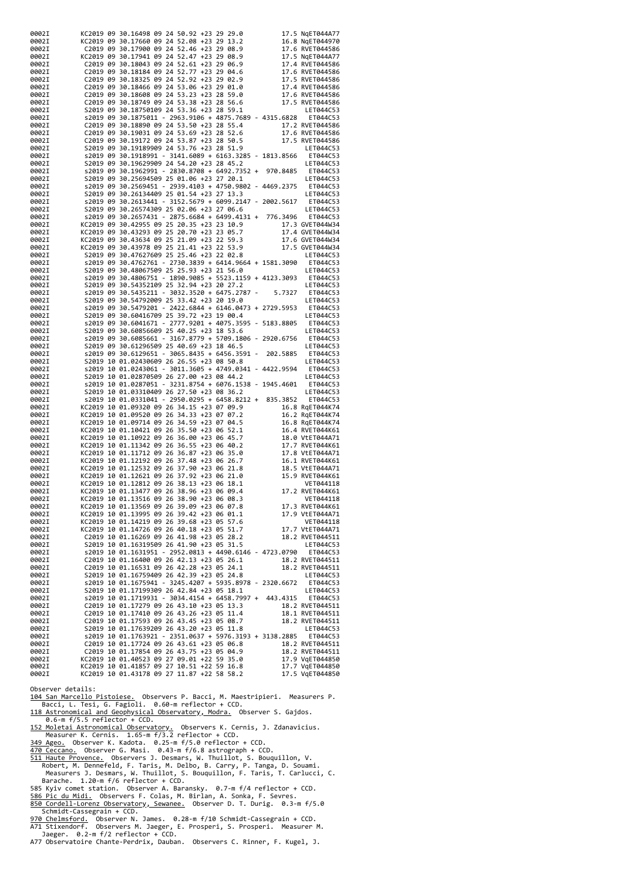| 0002I          |  |                                                                                                                                                                                                                                                                                      |  | 17.5 NgET044A77                    |
|----------------|--|--------------------------------------------------------------------------------------------------------------------------------------------------------------------------------------------------------------------------------------------------------------------------------------|--|------------------------------------|
| 0002I          |  | KC2019 09 30.16498 09 24 52.08 +23 29 13.2<br>KC2019 09 30.17660 09 24 52.08 +23 29 13.2<br>C2019 09 30.17900 09 24 52.46 +23 29 08.9<br>KC2019 09 30.17941 09 24 52.47 +23 29 08.9<br>C2019 09 30.18043 09 24 52.61 +23 29 06.9<br>C201                                             |  | 16.8 NgET044970                    |
| 0002I          |  |                                                                                                                                                                                                                                                                                      |  | 17.6 RVET044586                    |
| 0002I          |  |                                                                                                                                                                                                                                                                                      |  | 17.5 NgET044A77                    |
| 0002I          |  |                                                                                                                                                                                                                                                                                      |  | 17.4 RVET044586                    |
| 0002I          |  |                                                                                                                                                                                                                                                                                      |  | 17.6 RVET044586                    |
| 0002I          |  | $2243 = 29$<br>$-243 = 29$<br>$-243 = 29$<br>$-243 = 29$<br>$-243 = 29$<br>$-243 = 29$<br>$-243 = 29$<br>$-183 = 29$<br>$-183 = 29$<br>$-183 = 29$<br>$-183 = 29$<br>$-183 = 29$<br>$-183 = 29$<br>$-183 = 29$<br>$-183 = 29$<br>$-183 = 29$<br>$-183 = 29$<br>$-183 = 29$<br>$-183$ |  | 17.5 RVET044586<br>17.4 RVET044586 |
| 0002I          |  |                                                                                                                                                                                                                                                                                      |  | 17.6 RVET044586                    |
| 0002I<br>0002I |  |                                                                                                                                                                                                                                                                                      |  | 17.5 RVET044586                    |
| 0002I          |  |                                                                                                                                                                                                                                                                                      |  | LET044C53                          |
| 0002I          |  | s2019 09 30.1875011 - 2963.9106 + 4875.7689 - 4315.6828                                                                                                                                                                                                                              |  | ET044C53                           |
| 0002I          |  | C2019 09 30.18890 09 24 53.50 +23 28 55.4                                                                                                                                                                                                                                            |  | 17.2 RVET044586                    |
| 0002I          |  | C2019 09 30.19031 09 24 53.69 +23 28 52.6<br>C2019 09 30.19172 09 24 53.87 +23 28 50.5                                                                                                                                                                                               |  | 17.6 RVET044586                    |
| 0002I          |  |                                                                                                                                                                                                                                                                                      |  | 17.5 RVET044586                    |
| 0002I          |  | S2019 09 30.19189909 24 53.76 +23 28 51.9                                                                                                                                                                                                                                            |  | LET044C53                          |
| 0002I          |  | s2019 09 30.1918991 - 3141.6089 + 6163.3285 - 1813.8566                                                                                                                                                                                                                              |  | ET044C53                           |
| 0002I          |  | S2019 09 30.19629909 24 54.20 +23 28 45.2<br>s2019 09 30.1962991 - 2830.8708 + 6492.7352 + 970.8485                                                                                                                                                                                  |  | LET044C53<br>ET044C53              |
| 0002I<br>0002I |  | S2019 09 30.25694509 25 01.06 +23 27 20.1                                                                                                                                                                                                                                            |  | LET044C53                          |
| 0002I          |  | s2019 09 30.2569451 - 2939.4103 + 4750.9802 - 4469.2375                                                                                                                                                                                                                              |  | ET044C53                           |
| 0002I          |  | S2019 09 30.26134409 25 01.54 +23 27 13.3                                                                                                                                                                                                                                            |  | LET044C53                          |
| 0002I          |  | s2019 09 30.2613441 - 3152.5679 + 6099.2147 - 2002.5617                                                                                                                                                                                                                              |  | ET044C53                           |
| 0002I          |  | S2019 09 30.26574309 25 02.06 +23 27 06.6                                                                                                                                                                                                                                            |  | LET044C53                          |
| 0002I          |  | s2019 09 30.2657431 - 2875.6684 + 6499.4131 + 776.3496                                                                                                                                                                                                                               |  | ET044C53                           |
| 0002I          |  | KC2019 09 30.42955 09 25 20.35 +23 23 10.9                                                                                                                                                                                                                                           |  | 17.3 GVET044W34                    |
| 0002I          |  |                                                                                                                                                                                                                                                                                      |  | 17.4 GVET044W34                    |
| 0002I          |  | KC2019 09 30.43293 09 25 20.70 +23 23 05.7<br>KC2019 09 30.43634 09 25 21.09 +23 22 59.3<br>KC2019 09 30.43978 09 25 21.41 +23 22 53.9                                                                                                                                               |  | 17.6 GVET044W34                    |
| 0002I          |  | S2019 09 30.47627609 25 25.46 +23 22 02.8                                                                                                                                                                                                                                            |  | 17.5 GVET044W34                    |
| 0002I<br>0002I |  | s2019 09 30.4762761 - 2730.3839 + 6414.9664 + 1581.3090                                                                                                                                                                                                                              |  | LET044C53<br>ET044C53              |
| 0002I          |  | S2019 09 30.48067509 25 25.93 +23 21 56.0                                                                                                                                                                                                                                            |  | LET044C53                          |
| 0002I          |  | s2019 09 30.4806751 - 1890.9085 + 5523.1159 + 4123.3093                                                                                                                                                                                                                              |  | ET044C53                           |
| 0002I          |  | S2019 09 30.54352109 25 32.94 +23 20 27.2                                                                                                                                                                                                                                            |  | LET044C53                          |
| 0002I          |  | s2019 09 30.5435211 - 3032.3520 + 6475.2787 - 5.7327                                                                                                                                                                                                                                 |  | ET044C53                           |
| 0002I          |  | S2019 09 30.54792009 25 33.42 +23 20 19.0                                                                                                                                                                                                                                            |  | LET044C53                          |
| 0002I          |  | s2019 09 30.5479201 - 2422.6844 + 6146.0473 + 2729.5953                                                                                                                                                                                                                              |  | ET044C53                           |
| 0002I          |  | S2019 09 30.60416709 25 39.72 +23 19 00.4                                                                                                                                                                                                                                            |  | LET044C53                          |
| 0002I<br>0002I |  | s2019 09 30.6041671 - 2777.9201 + 4075.3595 - 5183.8805<br>S2019 09 30.60856609 25 40.25 +23 18 53.6                                                                                                                                                                                 |  | ET044C53<br>LET044C53              |
| 0002I          |  | s2019 09 30.6085661 - 3167.8779 + 5709.1806 - 2920.6756                                                                                                                                                                                                                              |  | ET044C53                           |
| 0002I          |  | S2019 09 30.61296509 25 40.69 +23 18 46.5                                                                                                                                                                                                                                            |  | LET044C53                          |
| 0002I          |  | s2019 09 30.6129651 - 3065.8435 + 6456.3591 - 202.5885                                                                                                                                                                                                                               |  | ET044C53                           |
| 0002I          |  | S2019 10 01.02430609 26 26.55 +23 08 50.8                                                                                                                                                                                                                                            |  | LET044C53                          |
| 0002I          |  | s2019 10 01.0243061 - 3011.3605 + 4749.0341 - 4422.9594                                                                                                                                                                                                                              |  | ET044C53                           |
| 0002I          |  | S2019 10 01.02870509 26 27.00 +23 08 44.2                                                                                                                                                                                                                                            |  | LET044C53                          |
| 0002I          |  | s2019 10 01.0287051 - 3231.8754 + 6076.1538 - 1945.4601                                                                                                                                                                                                                              |  | ET044C53                           |
| 0002I<br>0002I |  | 52019 10 01.03310409 26 27.50 +23 08 36.2<br>s2019 10 01.0331041 - 2950.0295 + 6458.8212 + 835.3852                                                                                                                                                                                  |  | LET044C53                          |
| 0002I          |  | KC2019 10 01.09320 09 26 34.15 +23 07 09.9                                                                                                                                                                                                                                           |  | ET044C53<br>16.8 RgET044K74        |
| 0002I          |  | KC2019 10 01.09520 09 26 34.33 +23 07 07.2                                                                                                                                                                                                                                           |  | 16.2 RgET044K74                    |
| 0002I          |  | KC2019 10 01.09714 09 26 34.59 +23 07 04.5                                                                                                                                                                                                                                           |  | 16.8 RgET044K74                    |
| 0002I          |  | KC2019 10 01.10421 09 26 35.50 +23 06 52.1                                                                                                                                                                                                                                           |  | 16.4 RVET044K61                    |
| 0002I          |  | KC2019 10 01.10922 09 26 36.00 +23 06 45.7                                                                                                                                                                                                                                           |  | 18.0 VtET044A71                    |
| 0002I          |  | KC2019 10 01.11342 09 26 36.55 +23 06 40.2<br>KC2019 10 01.11712 09 26 36.87 +23 06 35.0                                                                                                                                                                                             |  | 17.7 RVET044K61                    |
| 0002I          |  |                                                                                                                                                                                                                                                                                      |  | 17.8 VtET044A71                    |
| 0002I          |  | KC2019 10 01.12192 09 26 37.48 +23 06 26.7                                                                                                                                                                                                                                           |  | 16.1 RVET044K61                    |
| 0002I          |  | KC2019 10 01.12532 09 26 37.90 +23 06 21.8<br>KC2019 10 01.12621 09 26 37.92 +23 06 21.0                                                                                                                                                                                             |  | 18.5 VtET044A71<br>15.9 RVET044K61 |
| 0002I<br>0002I |  | KC2019 10 01.12812 09 26 38.13 +23 06 18.1                                                                                                                                                                                                                                           |  | VET044118                          |
| 0002I          |  | KC2019 10 01.13477 09 26 38.96 +23 06 09.4                                                                                                                                                                                                                                           |  | 17.2 RVET044K61                    |
| 0002I          |  | KC2019 10 01.13516 09 26 38.90 +23 06 08.3                                                                                                                                                                                                                                           |  | VET044118                          |
| 0002I          |  |                                                                                                                                                                                                                                                                                      |  |                                    |
| 0002I          |  | XC2019 10 01.13569 09 26 39.09 +23 06 07.8<br>XC2019 10 01.13569 09 26 39.09 +23 06 07.8<br>XC2019 10 01.13995 09 26 39.09 +23 06 07.8<br>XC2019 10 01.147219 09 26 39.68 +23 05 57.6<br>XC2019 10 01.147219 09 26 39.68 +23 05 57.6<br>                                             |  |                                    |
| 0002I          |  |                                                                                                                                                                                                                                                                                      |  |                                    |
| 0002I          |  |                                                                                                                                                                                                                                                                                      |  |                                    |
| 0002I          |  | C2019 10 01.16269 09 26 41.98 +23 05 28.2                                                                                                                                                                                                                                            |  | 18.2 RVET044511                    |
| 0002I<br>0002I |  | S2019 10 01.16319509 26 41.90 +23 05 31.5<br>s2019 10 01.1631951 - 2952.0813 + 4490.6146 - 4723.0790                                                                                                                                                                                 |  | LET044C53<br>ET044C53              |
| 0002I          |  | 02019 10 01.16400 09 26 42.13 +23 05 26.1                                                                                                                                                                                                                                            |  | 18.2 RVET044511                    |
| 0002I          |  | C2019 10 01.16531 09 26 42.28 +23 05 24.1                                                                                                                                                                                                                                            |  | 18.2 RVET044511                    |
| 0002I          |  | S2019 10 01.16759409 26 42.39 +23 05 24.8                                                                                                                                                                                                                                            |  | LET044C53                          |
| 0002I          |  | s2019 10 01.1675941 - 3245.4207 + 5935.8978 - 2320.6672 ET044C53                                                                                                                                                                                                                     |  |                                    |
| 0002I          |  | S2019 10 01.17199309 26 42.84 +23 05 18.1                                                                                                                                                                                                                                            |  | LET044C53                          |
| 0002I          |  | s2019 10 01.1719931 - 3034.4154 + 6458.7997 + 443.4315 ET044C53                                                                                                                                                                                                                      |  |                                    |
| 0002I          |  | C2019 10 01.17279 09 26 43.10 +23 05 13.3<br>C2019 10 01.17410 09 26 43.26 +23 05 13.3<br>C2019 10 01.17593 09 26 43.45 +23 05 08.7<br>S2019 10 01.17639209 26 43.20 +23 05 11.8                                                                                                     |  | 18.2 RVET044511                    |
| 0002I          |  |                                                                                                                                                                                                                                                                                      |  | 18.1 RVET044511                    |
| 0002I<br>0002I |  |                                                                                                                                                                                                                                                                                      |  | 18.2 RVET044511<br>LET044C53       |
| 0002I          |  | s2019 10 01.1763921 - 2351.0637 + 5976.3193 + 3138.2885 ET044C53                                                                                                                                                                                                                     |  |                                    |
| 0002I          |  | C2019 10 01.17724 09 26 43.61 +23 05 06.8                                                                                                                                                                                                                                            |  | 18.2 RVET044511                    |
| 0002I          |  | C2019 10 01.17854 09 26 43.75 +23 05 04.9<br>KC2019 10 01.40523 09 27 09.01 +22 59 35.0<br>KC2019 10 01.41857 09 27 10.51 +22 59 16.8                                                                                                                                                |  | 18.2 RVET044511                    |
| 0002I          |  |                                                                                                                                                                                                                                                                                      |  | 17.9 VqET044850                    |
| 0002I          |  |                                                                                                                                                                                                                                                                                      |  | 17.7 VgET044850                    |
| 0002I          |  | KC2019 10 01.43178 09 27 11.87 +22 58 58.2           17.5 VqET044850                                                                                                                                                                                                                 |  |                                    |

Observer details:<br>
104 San Marcello Pistoiese, Observers P. Bacci, M. Maestripieri. Measurers P.<br>
<u>Bacci, L. Tesi, G. Fagioli. 0.60-m</u> reflector + CCD.<br>
118 Astronomical and Geophysical Observatory, Modra, Observer S. Gajd